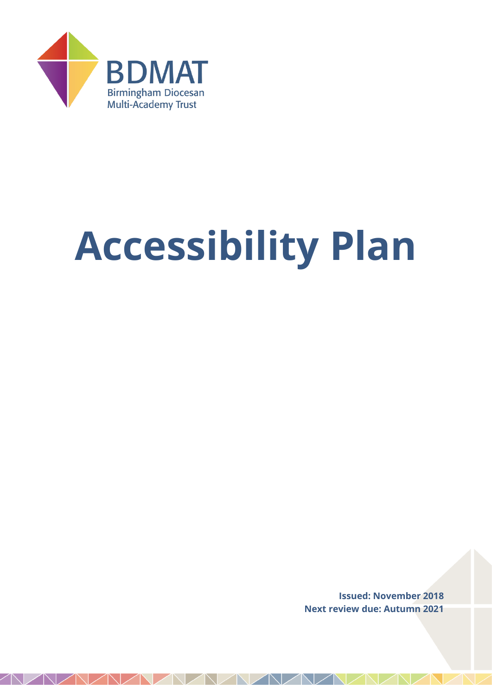

# **Accessibility Plan**

**Issued: November 2018 Next review due: Autumn 2021**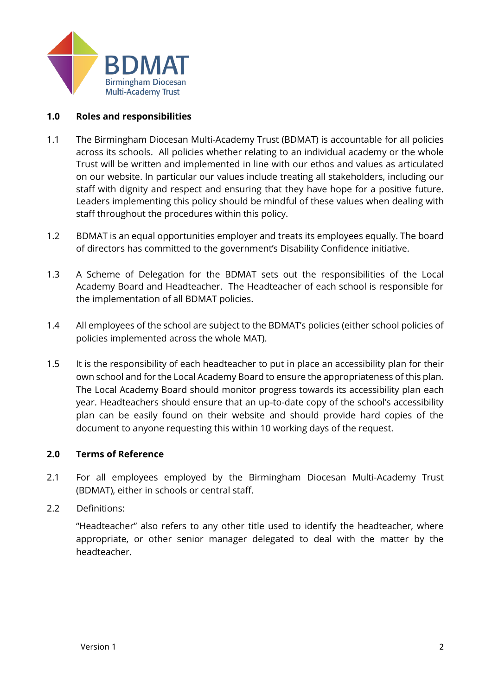

# **1.0 Roles and responsibilities**

- 1.1 The Birmingham Diocesan Multi-Academy Trust (BDMAT) is accountable for all policies across its schools. All policies whether relating to an individual academy or the whole Trust will be written and implemented in line with our ethos and values as articulated on our website. In particular our values include treating all stakeholders, including our staff with dignity and respect and ensuring that they have hope for a positive future. Leaders implementing this policy should be mindful of these values when dealing with staff throughout the procedures within this policy.
- 1.2 BDMAT is an equal opportunities employer and treats its employees equally. The board of directors has committed to the government's Disability Confidence initiative.
- 1.3 A Scheme of Delegation for the BDMAT sets out the responsibilities of the Local Academy Board and Headteacher. The Headteacher of each school is responsible for the implementation of all BDMAT policies.
- 1.4 All employees of the school are subject to the BDMAT's policies (either school policies of policies implemented across the whole MAT).
- 1.5 It is the responsibility of each headteacher to put in place an accessibility plan for their own school and for the Local Academy Board to ensure the appropriateness of this plan. The Local Academy Board should monitor progress towards its accessibility plan each year. Headteachers should ensure that an up-to-date copy of the school's accessibility plan can be easily found on their website and should provide hard copies of the document to anyone requesting this within 10 working days of the request.

# **2.0 Terms of Reference**

- 2.1 For all employees employed by the Birmingham Diocesan Multi-Academy Trust (BDMAT), either in schools or central staff.
- 2.2 Definitions:

"Headteacher" also refers to any other title used to identify the headteacher, where appropriate, or other senior manager delegated to deal with the matter by the headteacher.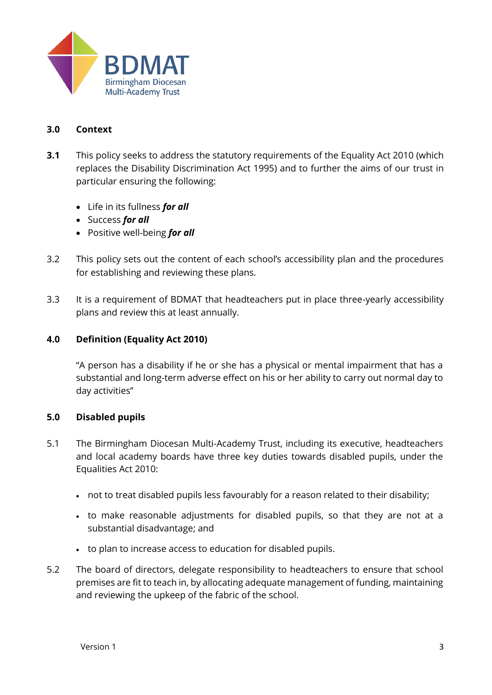

# **3.0 Context**

- **3.1** This policy seeks to address the statutory requirements of the Equality Act 2010 (which replaces the Disability Discrimination Act 1995) and to further the aims of our trust in particular ensuring the following:
	- Life in its fullness *for all*
	- Success *for all*
	- Positive well-being *for all*
- 3.2 This policy sets out the content of each school's accessibility plan and the procedures for establishing and reviewing these plans.
- 3.3 It is a requirement of BDMAT that headteachers put in place three-yearly accessibility plans and review this at least annually.

# **4.0 Definition (Equality Act 2010)**

"A person has a disability if he or she has a physical or mental impairment that has a substantial and long-term adverse effect on his or her ability to carry out normal day to day activities"

# **5.0 Disabled pupils**

- 5.1 The Birmingham Diocesan Multi-Academy Trust, including its executive, headteachers and local academy boards have three key duties towards disabled pupils, under the Equalities Act 2010:
	- not to treat disabled pupils less favourably for a reason related to their disability;
	- to make reasonable adjustments for disabled pupils, so that they are not at a substantial disadvantage; and
	- to plan to increase access to education for disabled pupils.
- 5.2 The board of directors, delegate responsibility to headteachers to ensure that school premises are fit to teach in, by allocating adequate management of funding, maintaining and reviewing the upkeep of the fabric of the school.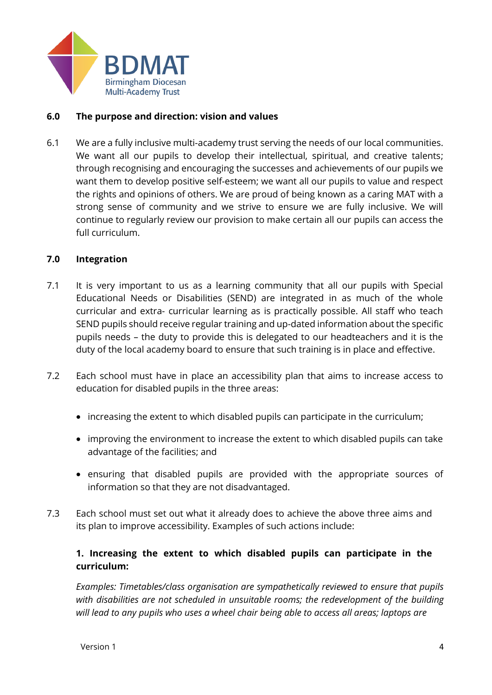

# **6.0 The purpose and direction: vision and values**

6.1 We are a fully inclusive multi-academy trust serving the needs of our local communities. We want all our pupils to develop their intellectual, spiritual, and creative talents; through recognising and encouraging the successes and achievements of our pupils we want them to develop positive self-esteem; we want all our pupils to value and respect the rights and opinions of others. We are proud of being known as a caring MAT with a strong sense of community and we strive to ensure we are fully inclusive. We will continue to regularly review our provision to make certain all our pupils can access the full curriculum.

# **7.0 Integration**

- 7.1 It is very important to us as a learning community that all our pupils with Special Educational Needs or Disabilities (SEND) are integrated in as much of the whole curricular and extra- curricular learning as is practically possible. All staff who teach SEND pupils should receive regular training and up-dated information about the specific pupils needs – the duty to provide this is delegated to our headteachers and it is the duty of the local academy board to ensure that such training is in place and effective.
- 7.2 Each school must have in place an accessibility plan that aims to increase access to education for disabled pupils in the three areas:
	- increasing the extent to which disabled pupils can participate in the curriculum;
	- improving the environment to increase the extent to which disabled pupils can take advantage of the facilities; and
	- ensuring that disabled pupils are provided with the appropriate sources of information so that they are not disadvantaged.
- 7.3 Each school must set out what it already does to achieve the above three aims and its plan to improve accessibility. Examples of such actions include:

# **1. Increasing the extent to which disabled pupils can participate in the curriculum:**

*Examples: Timetables/class organisation are sympathetically reviewed to ensure that pupils with disabilities are not scheduled in unsuitable rooms; the redevelopment of the building will lead to any pupils who uses a wheel chair being able to access all areas; laptops are*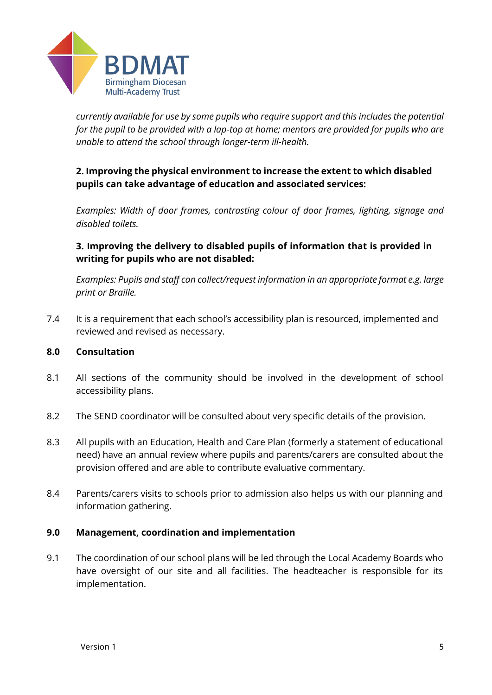

*currently available for use by some pupils who require support and this includes the potential for the pupil to be provided with a lap-top at home; mentors are provided for pupils who are unable to attend the school through longer-term ill-health.* 

# **2. Improving the physical environment to increase the extent to which disabled pupils can take advantage of education and associated services:**

*Examples: Width of door frames, contrasting colour of door frames, lighting, signage and disabled toilets.* 

# **3. Improving the delivery to disabled pupils of information that is provided in writing for pupils who are not disabled:**

*Examples: Pupils and staff can collect/request information in an appropriate format e.g. large print or Braille.* 

7.4 It is a requirement that each school's accessibility plan is resourced, implemented and reviewed and revised as necessary.

# **8.0 Consultation**

- 8.1 All sections of the community should be involved in the development of school accessibility plans.
- 8.2 The SEND coordinator will be consulted about very specific details of the provision.
- 8.3 All pupils with an Education, Health and Care Plan (formerly a statement of educational need) have an annual review where pupils and parents/carers are consulted about the provision offered and are able to contribute evaluative commentary.
- 8.4 Parents/carers visits to schools prior to admission also helps us with our planning and information gathering.

# **9.0 Management, coordination and implementation**

9.1 The coordination of our school plans will be led through the Local Academy Boards who have oversight of our site and all facilities. The headteacher is responsible for its implementation.